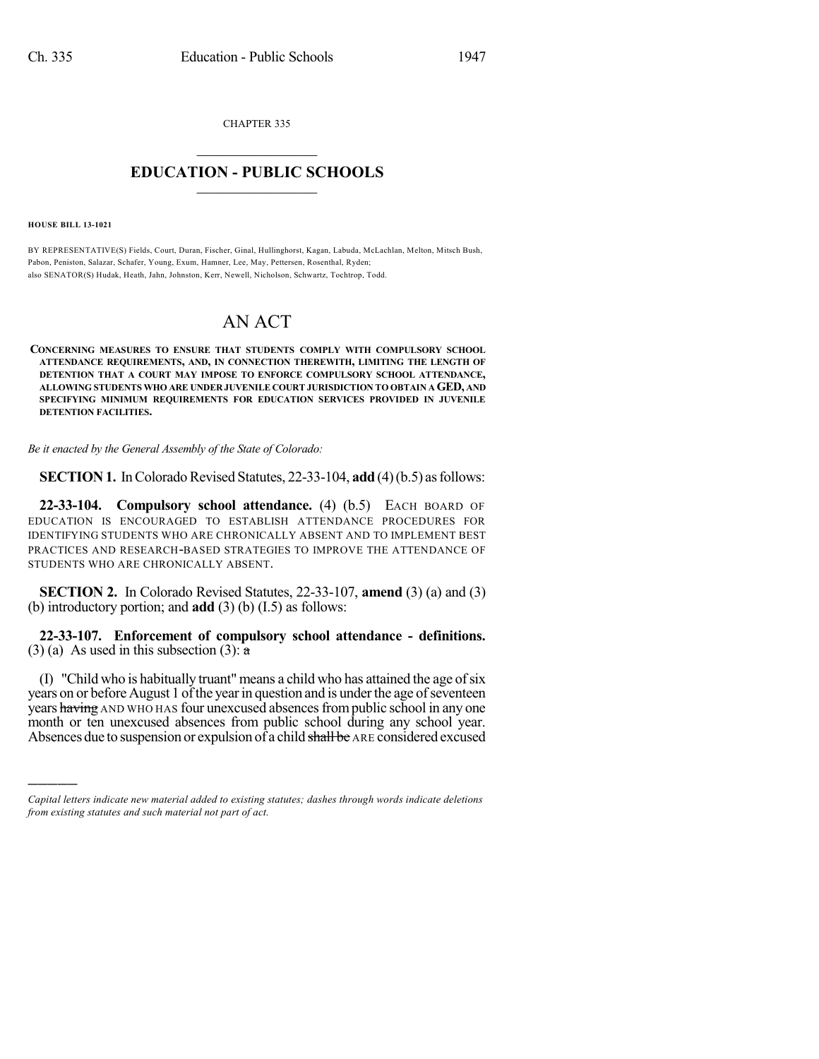CHAPTER 335

## $\mathcal{L}_\text{max}$  . The set of the set of the set of the set of the set of the set of the set of the set of the set of the set of the set of the set of the set of the set of the set of the set of the set of the set of the set **EDUCATION - PUBLIC SCHOOLS**  $\_$   $\_$   $\_$   $\_$   $\_$   $\_$   $\_$   $\_$   $\_$

**HOUSE BILL 13-1021**

)))))

BY REPRESENTATIVE(S) Fields, Court, Duran, Fischer, Ginal, Hullinghorst, Kagan, Labuda, McLachlan, Melton, Mitsch Bush, Pabon, Peniston, Salazar, Schafer, Young, Exum, Hamner, Lee, May, Pettersen, Rosenthal, Ryden; also SENATOR(S) Hudak, Heath, Jahn, Johnston, Kerr, Newell, Nicholson, Schwartz, Tochtrop, Todd.

## AN ACT

**CONCERNING MEASURES TO ENSURE THAT STUDENTS COMPLY WITH COMPULSORY SCHOOL ATTENDANCE REQUIREMENTS, AND, IN CONNECTION THEREWITH, LIMITING THE LENGTH OF DETENTION THAT A COURT MAY IMPOSE TO ENFORCE COMPULSORY SCHOOL ATTENDANCE, ALLOWING STUDENTS WHO ARE UNDER JUVENILE COURT JURISDICTION TO OBTAIN AGED, AND SPECIFYING MINIMUM REQUIREMENTS FOR EDUCATION SERVICES PROVIDED IN JUVENILE DETENTION FACILITIES.**

*Be it enacted by the General Assembly of the State of Colorado:*

**SECTION 1.** In Colorado Revised Statutes, 22-33-104, **add** (4)(b.5) as follows:

**22-33-104. Compulsory school attendance.** (4) (b.5) EACH BOARD OF EDUCATION IS ENCOURAGED TO ESTABLISH ATTENDANCE PROCEDURES FOR IDENTIFYING STUDENTS WHO ARE CHRONICALLY ABSENT AND TO IMPLEMENT BEST PRACTICES AND RESEARCH-BASED STRATEGIES TO IMPROVE THE ATTENDANCE OF STUDENTS WHO ARE CHRONICALLY ABSENT.

**SECTION 2.** In Colorado Revised Statutes, 22-33-107, **amend** (3) (a) and (3) (b) introductory portion; and **add** (3) (b) (I.5) as follows:

**22-33-107. Enforcement of compulsory school attendance - definitions.** (3) (a) As used in this subsection (3):  $\overline{a}$ 

(I) "Child who is habitually truant" means a child who has attained the age ofsix years on or before August 1 of the year in question and is under the age of seventeen years having AND WHO HAS four unexcused absences from public school in any one month or ten unexcused absences from public school during any school year. Absences due to suspension or expulsion of a child shall be ARE considered excused

*Capital letters indicate new material added to existing statutes; dashes through words indicate deletions from existing statutes and such material not part of act.*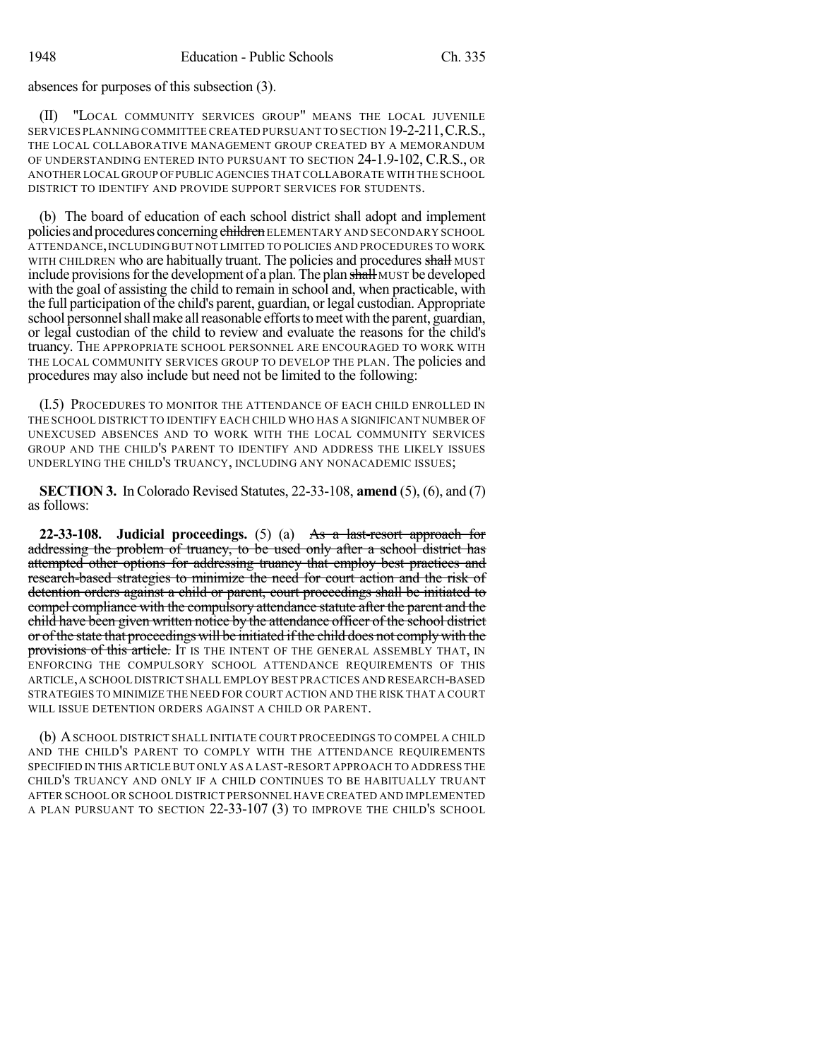absences for purposes of this subsection (3).

(II) "LOCAL COMMUNITY SERVICES GROUP" MEANS THE LOCAL JUVENILE SERVICES PLANNING COMMITTEE CREATED PURSUANT TO SECTION 19-2-211,C.R.S., THE LOCAL COLLABORATIVE MANAGEMENT GROUP CREATED BY A MEMORANDUM OF UNDERSTANDING ENTERED INTO PURSUANT TO SECTION 24-1.9-102, C.R.S., OR ANOTHER LOCAL GROUP OFPUBLIC AGENCIES THAT COLLABORATE WITH THE SCHOOL DISTRICT TO IDENTIFY AND PROVIDE SUPPORT SERVICES FOR STUDENTS.

(b) The board of education of each school district shall adopt and implement policies and procedures concerning children ELEMENTARY AND SECONDARY SCHOOL ATTENDANCE,INCLUDING BUT NOT LIMITED TO POLICIES AND PROCEDURES TO WORK WITH CHILDREN who are habitually truant. The policies and procedures shall MUST include provisions for the development of a plan. The plan shall MUST be developed with the goal of assisting the child to remain in school and, when practicable, with the full participation of the child's parent, guardian, or legal custodian. Appropriate school personnel shall make all reasonable efforts to meet with the parent, guardian, or legal custodian of the child to review and evaluate the reasons for the child's truancy. THE APPROPRIATE SCHOOL PERSONNEL ARE ENCOURAGED TO WORK WITH THE LOCAL COMMUNITY SERVICES GROUP TO DEVELOP THE PLAN. The policies and procedures may also include but need not be limited to the following:

(I.5) PROCEDURES TO MONITOR THE ATTENDANCE OF EACH CHILD ENROLLED IN THE SCHOOL DISTRICT TO IDENTIFY EACH CHILD WHO HAS A SIGNIFICANT NUMBER OF UNEXCUSED ABSENCES AND TO WORK WITH THE LOCAL COMMUNITY SERVICES GROUP AND THE CHILD'S PARENT TO IDENTIFY AND ADDRESS THE LIKELY ISSUES UNDERLYING THE CHILD'S TRUANCY, INCLUDING ANY NONACADEMIC ISSUES;

**SECTION 3.** In Colorado Revised Statutes, 22-33-108, **amend** (5), (6), and (7) as follows:

**22-33-108. Judicial proceedings.** (5) (a) As a last-resort approach for addressing the problem of truancy, to be used only after a school district has attempted other options for addressing truancy that employ best practices and research-based strategies to minimize the need for court action and the risk of detention orders against a child or parent, court proceedings shall be initiated to compel compliance with the compulsory attendance statute after the parent and the child have been given written notice by the attendance officer of the school district or of the state that proceedings will be initiated if the child does not comply with the provisions of this article. It is the INTENT OF THE GENERAL ASSEMBLY THAT, IN ENFORCING THE COMPULSORY SCHOOL ATTENDANCE REQUIREMENTS OF THIS ARTICLE,A SCHOOL DISTRICT SHALL EMPLOY BEST PRACTICES AND RESEARCH-BASED STRATEGIES TO MINIMIZE THE NEED FOR COURT ACTION AND THE RISK THAT A COURT WILL ISSUE DETENTION ORDERS AGAINST A CHILD OR PARENT.

(b) ASCHOOL DISTRICT SHALL INITIATE COURT PROCEEDINGS TO COMPEL A CHILD AND THE CHILD'S PARENT TO COMPLY WITH THE ATTENDANCE REQUIREMENTS SPECIFIED IN THIS ARTICLE BUT ONLY AS A LAST-RESORT APPROACH TO ADDRESS THE CHILD'S TRUANCY AND ONLY IF A CHILD CONTINUES TO BE HABITUALLY TRUANT AFTER SCHOOL OR SCHOOL DISTRICT PERSONNEL HAVE CREATED AND IMPLEMENTED A PLAN PURSUANT TO SECTION 22-33-107 (3) TO IMPROVE THE CHILD'S SCHOOL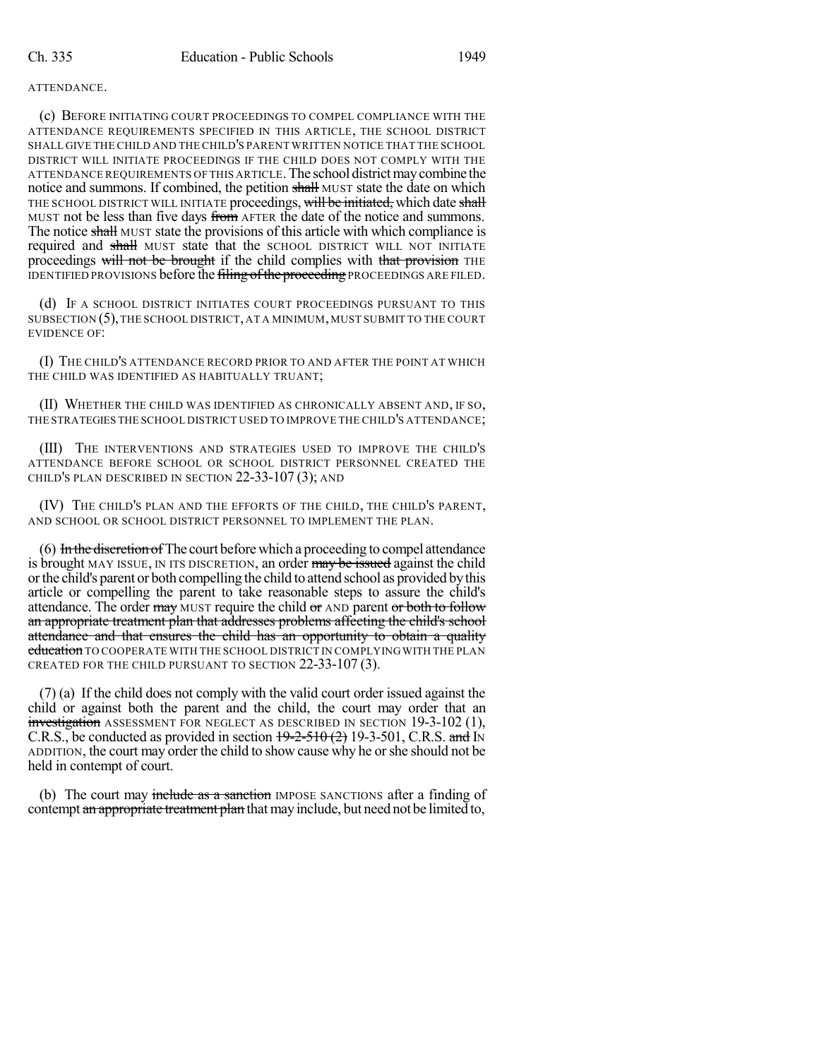## ATTENDANCE.

(c) BEFORE INITIATING COURT PROCEEDINGS TO COMPEL COMPLIANCE WITH THE ATTENDANCE REQUIREMENTS SPECIFIED IN THIS ARTICLE, THE SCHOOL DISTRICT SHALL GIVE THE CHILD AND THE CHILD'S PARENT WRITTEN NOTICE THAT THE SCHOOL DISTRICT WILL INITIATE PROCEEDINGS IF THE CHILD DOES NOT COMPLY WITH THE ATTENDANCE REQUIREMENTS OF THIS ARTICLE.The school districtmaycombine the notice and summons. If combined, the petition shall MUST state the date on which THE SCHOOL DISTRICT WILL INITIATE proceedings, will be initiated, which date shall MUST not be less than five days from AFTER the date of the notice and summons. The notice shall MUST state the provisions of this article with which compliance is required and shall MUST state that the SCHOOL DISTRICT WILL NOT INITIATE proceedings will not be brought if the child complies with that provision THE IDENTIFIED PROVISIONS before the filing of the proceeding PROCEEDINGS ARE FILED.

(d) IF A SCHOOL DISTRICT INITIATES COURT PROCEEDINGS PURSUANT TO THIS SUBSECTION (5),THE SCHOOL DISTRICT, AT A MINIMUM, MUST SUBMIT TO THE COURT EVIDENCE OF:

(I) THE CHILD'S ATTENDANCE RECORD PRIOR TO AND AFTER THE POINT AT WHICH THE CHILD WAS IDENTIFIED AS HABITUALLY TRUANT;

(II) WHETHER THE CHILD WAS IDENTIFIED AS CHRONICALLY ABSENT AND, IF SO, THE STRATEGIES THE SCHOOL DISTRICT USED TO IMPROVE THE CHILD'S ATTENDANCE;

(III) THE INTERVENTIONS AND STRATEGIES USED TO IMPROVE THE CHILD'S ATTENDANCE BEFORE SCHOOL OR SCHOOL DISTRICT PERSONNEL CREATED THE CHILD'S PLAN DESCRIBED IN SECTION 22-33-107 (3); AND

(IV) THE CHILD'S PLAN AND THE EFFORTS OF THE CHILD, THE CHILD'S PARENT, AND SCHOOL OR SCHOOL DISTRICT PERSONNEL TO IMPLEMENT THE PLAN.

 $(6)$  In the discretion of The court before which a proceeding to compel attendance is brought MAY ISSUE, IN ITS DISCRETION, an order may be issued against the child orthe child's parent or both compelling the child to attend school as provided bythis article or compelling the parent to take reasonable steps to assure the child's attendance. The order may MUST require the child or AND parent or both to follow an appropriate treatment plan that addresses problems affecting the child's school attendance and that ensures the child has an opportunity to obtain a quality education TO COOPERATE WITH THE SCHOOL DISTRICT IN COMPLYING WITH THE PLAN CREATED FOR THE CHILD PURSUANT TO SECTION 22-33-107 (3).

(7) (a) If the child does not comply with the valid court order issued against the child or against both the parent and the child, the court may order that an investigation ASSESSMENT FOR NEGLECT AS DESCRIBED IN SECTION 19-3-102 (1), C.R.S., be conducted as provided in section  $\frac{19-2-510(2)}{2}$  19-3-501, C.R.S. and IN ADDITION, the court may order the child to show cause why he orshe should not be held in contempt of court.

(b) The court may include as a sanction IMPOSE SANCTIONS after a finding of contempt an appropriate treatment plan that may include, but need not be limited to,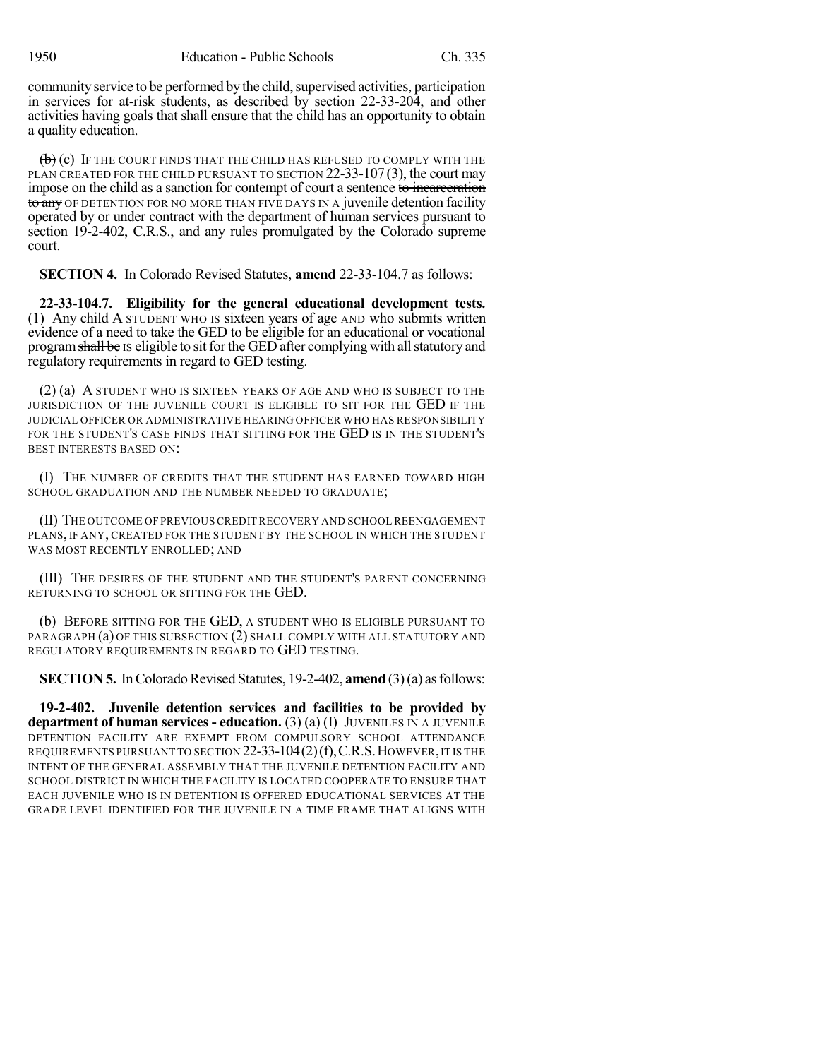community service to be performed by the child, supervised activities, participation in services for at-risk students, as described by section 22-33-204, and other activities having goals that shall ensure that the child has an opportunity to obtain a quality education.

 $\left(\overrightarrow{b}\right)$  (c) If the court finds that the child has refused to comply with the PLAN CREATED FOR THE CHILD PURSUANT TO SECTION 22-33-107 (3), the court may impose on the child as a sanction for contempt of court a sentence to incarceration to any OF DETENTION FOR NO MORE THAN FIVE DAYS IN A juvenile detention facility operated by or under contract with the department of human services pursuant to section 19-2-402, C.R.S., and any rules promulgated by the Colorado supreme court.

**SECTION 4.** In Colorado Revised Statutes, **amend** 22-33-104.7 as follows:

**22-33-104.7. Eligibility for the general educational development tests.** (1) Any child A STUDENT WHO IS sixteen years of age AND who submits written evidence of a need to take the GED to be eligible for an educational or vocational program shall be IS eligible to sit for the GED after complying with all statutory and regulatory requirements in regard to GED testing.

(2) (a) A STUDENT WHO IS SIXTEEN YEARS OF AGE AND WHO IS SUBJECT TO THE JURISDICTION OF THE JUVENILE COURT IS ELIGIBLE TO SIT FOR THE GED IF THE JUDICIAL OFFICER OR ADMINISTRATIVE HEARING OFFICER WHO HAS RESPONSIBILITY FOR THE STUDENT'S CASE FINDS THAT SITTING FOR THE GED IS IN THE STUDENT'S BEST INTERESTS BASED ON:

(I) THE NUMBER OF CREDITS THAT THE STUDENT HAS EARNED TOWARD HIGH SCHOOL GRADUATION AND THE NUMBER NEEDED TO GRADUATE;

(II) THE OUTCOME OF PREVIOUS CREDIT RECOVERY AND SCHOOL REENGAGEMENT PLANS, IF ANY, CREATED FOR THE STUDENT BY THE SCHOOL IN WHICH THE STUDENT WAS MOST RECENTLY ENROLLED; AND

(III) THE DESIRES OF THE STUDENT AND THE STUDENT'S PARENT CONCERNING RETURNING TO SCHOOL OR SITTING FOR THE GED.

(b) BEFORE SITTING FOR THE GED, A STUDENT WHO IS ELIGIBLE PURSUANT TO PARAGRAPH (a) OF THIS SUBSECTION (2) SHALL COMPLY WITH ALL STATUTORY AND REGULATORY REQUIREMENTS IN REGARD TO GED TESTING.

**SECTION 5.** In Colorado Revised Statutes, 19-2-402, **amend** (3)(a) as follows:

**19-2-402. Juvenile detention services and facilities to be provided by department of human services - education.** (3) (a) (I) JUVENILES IN A JUVENILE DETENTION FACILITY ARE EXEMPT FROM COMPULSORY SCHOOL ATTENDANCE REQUIREMENTS PURSUANT TO SECTION 22-33-104(2)(f),C.R.S.HOWEVER,IT IS THE INTENT OF THE GENERAL ASSEMBLY THAT THE JUVENILE DETENTION FACILITY AND SCHOOL DISTRICT IN WHICH THE FACILITY IS LOCATED COOPERATE TO ENSURE THAT EACH JUVENILE WHO IS IN DETENTION IS OFFERED EDUCATIONAL SERVICES AT THE GRADE LEVEL IDENTIFIED FOR THE JUVENILE IN A TIME FRAME THAT ALIGNS WITH